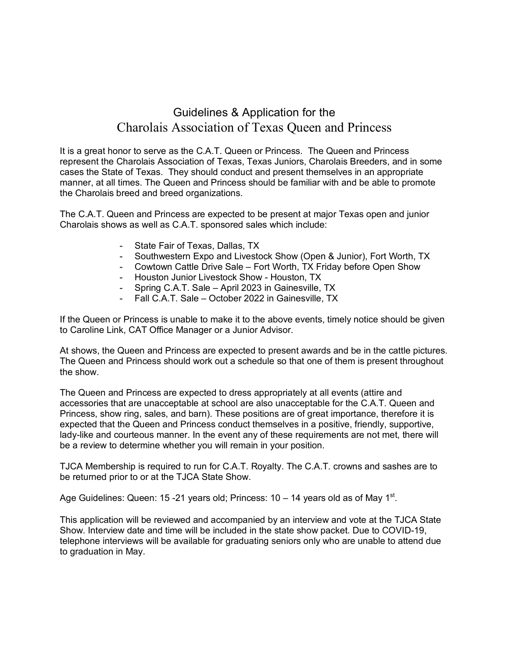## Guidelines & Application for the Charolais Association of Texas Queen and Princess

It is a great honor to serve as the C.A.T. Queen or Princess. The Queen and Princess represent the Charolais Association of Texas, Texas Juniors, Charolais Breeders, and in some cases the State of Texas. They should conduct and present themselves in an appropriate manner, at all times. The Queen and Princess should be familiar with and be able to promote the Charolais breed and breed organizations.

The C.A.T. Queen and Princess are expected to be present at major Texas open and junior Charolais shows as well as C.A.T. sponsored sales which include:

- State Fair of Texas, Dallas, TX
- Southwestern Expo and Livestock Show (Open & Junior), Fort Worth, TX
- Cowtown Cattle Drive Sale Fort Worth, TX Friday before Open Show
- Houston Junior Livestock Show Houston, TX
- Spring C.A.T. Sale April 2023 in Gainesville, TX
- Fall C.A.T. Sale October 2022 in Gainesville, TX

If the Queen or Princess is unable to make it to the above events, timely notice should be given to Caroline Link, CAT Office Manager or a Junior Advisor.

At shows, the Queen and Princess are expected to present awards and be in the cattle pictures. The Queen and Princess should work out a schedule so that one of them is present throughout the show.

The Queen and Princess are expected to dress appropriately at all events (attire and accessories that are unacceptable at school are also unacceptable for the C.A.T. Queen and Princess, show ring, sales, and barn). These positions are of great importance, therefore it is expected that the Queen and Princess conduct themselves in a positive, friendly, supportive, lady-like and courteous manner. In the event any of these requirements are not met, there will be a review to determine whether you will remain in your position.

TJCA Membership is required to run for C.A.T. Royalty. The C.A.T. crowns and sashes are to be returned prior to or at the TJCA State Show.

Age Guidelines: Queen: 15 -21 years old; Princess:  $10 - 14$  years old as of May 1<sup>st</sup>.

This application will be reviewed and accompanied by an interview and vote at the TJCA State Show. Interview date and time will be included in the state show packet. Due to COVID-19, telephone interviews will be available for graduating seniors only who are unable to attend due to graduation in May.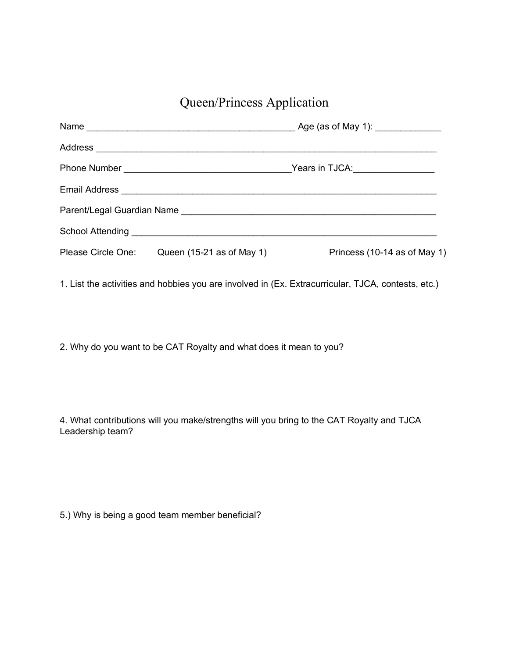Queen/Princess Application

|                                              | Years in TJCA: Vears in TJCA: |
|----------------------------------------------|-------------------------------|
|                                              |                               |
|                                              |                               |
|                                              |                               |
| Please Circle One: Queen (15-21 as of May 1) | Princess (10-14 as of May 1)  |

1. List the activities and hobbies you are involved in (Ex. Extracurricular, TJCA, contests, etc.)

2. Why do you want to be CAT Royalty and what does it mean to you?

4. What contributions will you make/strengths will you bring to the CAT Royalty and TJCA Leadership team?

5.) Why is being a good team member beneficial?